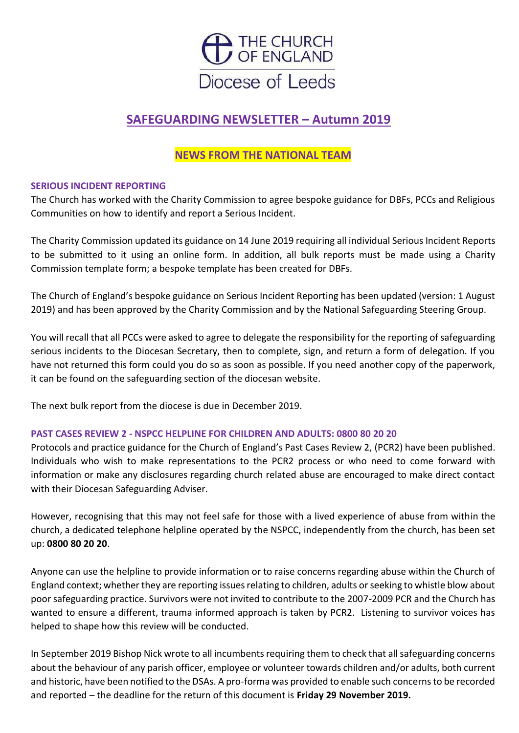

# **SAFEGUARDING NEWSLETTER – Autumn 2019**

## **NEWS FROM THE NATIONAL TEAM**

### **SERIOUS INCIDENT REPORTING**

The Church has worked with the Charity Commission to agree bespoke guidance for DBFs, PCCs and Religious Communities on how to identify and report a Serious Incident.

The Charity Commission updated its guidance on 14 June 2019 requiring all individual Serious Incident Reports to be submitted to it using an online form. In addition, all bulk reports must be made using a Charity Commission template form; a bespoke template has been created for DBFs.

The Church of England's bespoke guidance on Serious Incident Reporting has been updated (version: 1 August 2019) and has been approved by the Charity Commission and by the National Safeguarding Steering Group.

You will recall that all PCCs were asked to agree to delegate the responsibility for the reporting of safeguarding serious incidents to the Diocesan Secretary, then to complete, sign, and return a form of delegation. If you have not returned this form could you do so as soon as possible. If you need another copy of the paperwork, it can be found on the safeguarding section of the diocesan website.

The next bulk report from the diocese is due in December 2019.

## **PAST CASES REVIEW 2 - NSPCC HELPLINE FOR CHILDREN AND ADULTS: 0800 80 20 20**

Protocols and practice guidance for the Church of England's Past Cases Review 2, (PCR2) have been published. Individuals who wish to make representations to the PCR2 process or who need to come forward with information or make any disclosures regarding church related abuse are encouraged to make direct contact with their Diocesan Safeguarding Adviser.

However, recognising that this may not feel safe for those with a lived experience of abuse from within the church, a dedicated telephone helpline operated by the NSPCC, independently from the church, has been set up: **0800 80 20 20**.

Anyone can use the helpline to provide information or to raise concerns regarding abuse within the Church of England context; whether they are reporting issues relating to children, adults or seeking to whistle blow about poor safeguarding practice. Survivors were not invited to contribute to the 2007-2009 PCR and the Church has wanted to ensure a different, trauma informed approach is taken by PCR2. Listening to survivor voices has helped to shape how this review will be conducted.

In September 2019 Bishop Nick wrote to all incumbents requiring them to check that all safeguarding concerns about the behaviour of any parish officer, employee or volunteer towards children and/or adults, both current and historic, have been notified to the DSAs. A pro-forma was provided to enable such concerns to be recorded and reported – the deadline for the return of this document is **Friday 29 November 2019.**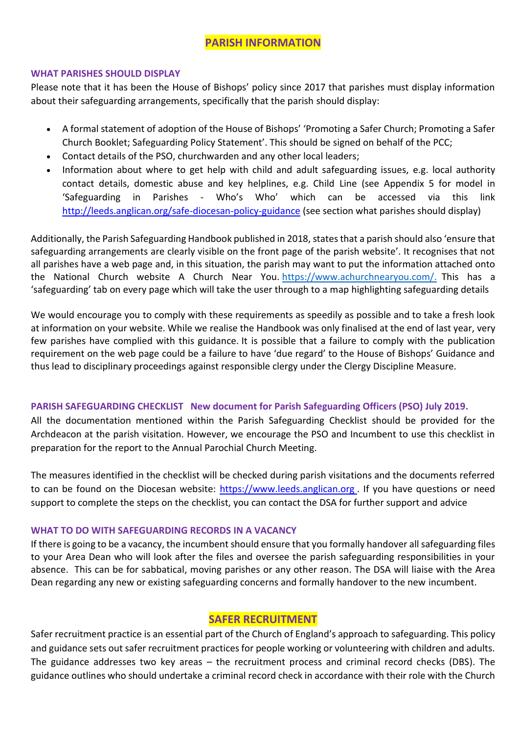## **PARISH INFORMATION**

#### **WHAT PARISHES SHOULD DISPLAY**

Please note that it has been the House of Bishops' policy since 2017 that parishes must display information about their safeguarding arrangements, specifically that the parish should display:

- A formal statement of adoption of the House of Bishops' 'Promoting a Safer Church; Promoting a Safer Church Booklet; Safeguarding Policy Statement'. This should be signed on behalf of the PCC;
- Contact details of the PSO, churchwarden and any other local leaders;
- Information about where to get help with child and adult safeguarding issues, e.g. local authority contact details, domestic abuse and key helplines, e.g. Child Line (see Appendix 5 for model in 'Safeguarding in Parishes - Who's Who' which can be accessed via this link <http://leeds.anglican.org/safe-diocesan-policy-guidance> (see section what parishes should display)

Additionally, the Parish Safeguarding Handbook published in 2018, states that a parish should also 'ensure that safeguarding arrangements are clearly visible on the front page of the parish website'. It recognises that not all parishes have a web page and, in this situation, the parish may want to put the information attached onto the National Church website A Church Near You. [https://www.achurchnearyou.com/.](https://www.achurchnearyou.com/) This has a 'safeguarding' tab on every page which will take the user through to a map highlighting safeguarding details

We would encourage you to comply with these requirements as speedily as possible and to take a fresh look at information on your website. While we realise the Handbook was only finalised at the end of last year, very few parishes have complied with this guidance. It is possible that a failure to comply with the publication requirement on the web page could be a failure to have 'due regard' to the House of Bishops' Guidance and thus lead to disciplinary proceedings against responsible clergy under the Clergy Discipline Measure.

## **[PARISH SAFEGUARDING CHECKLIST](https://www.leeds.anglican.org/sites/default/files/files/Parish%20Safeguarding%20Checklist%2030_7_19%20final.docx) New document for Parish Safeguarding Officers (PSO) July 2019.**

All the documentation mentioned within the Parish Safeguarding Checklist should be provided for the Archdeacon at the parish visitation. However, we encourage the PSO and Incumbent to use this checklist in preparation for the report to the Annual Parochial Church Meeting.

The measures identified in the checklist will be checked during parish visitations and the documents referred to can be found on the Diocesan website: [https://www.leeds.anglican.org](https://www.leeds.anglican.org/)[.](https://www.leeds.anglican.org/) If you have questions or need support to complete the steps on the checklist, you can contact the DSA for further support and advice

### **WHAT TO DO WITH SAFEGUARDING RECORDS IN A VACANCY**

If there is going to be a vacancy, the incumbent should ensure that you formally handover all safeguarding files to your Area Dean who will look after the files and oversee the parish safeguarding responsibilities in your absence. This can be for sabbatical, moving parishes or any other reason. The DSA will liaise with the Area Dean regarding any new or existing safeguarding concerns and formally handover to the new incumbent.

## **SAFER RECRUITMENT**

Safer recruitment practice is an essential part of the Church of England's approach to safeguarding. This policy and guidance sets out safer recruitment practices for people working or volunteering with children and adults. The guidance addresses two key areas – the recruitment process and criminal record checks (DBS). The guidance outlines who should undertake a criminal record check in accordance with their role with the Church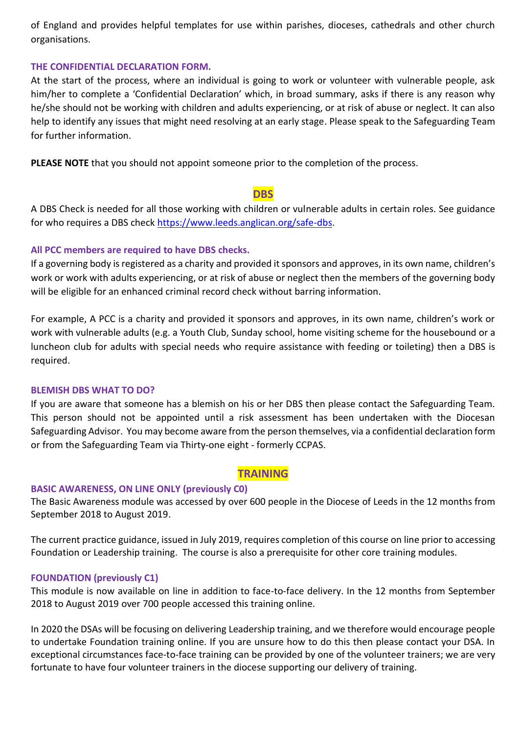of England and provides helpful templates for use within parishes, dioceses, cathedrals and other church organisations.

#### **THE CONFIDENTIAL DECLARATION FORM.**

At the start of the process, where an individual is going to work or volunteer with vulnerable people, ask him/her to complete a 'Confidential Declaration' which, in broad summary, asks if there is any reason why he/she should not be working with children and adults experiencing, or at risk of abuse or neglect. It can also help to identify any issues that might need resolving at an early stage. Please speak to the Safeguarding Team for further information.

**PLEASE NOTE** that you should not appoint someone prior to the completion of the process.

## **DBS**

A DBS Check is needed for all those working with children or vulnerable adults in certain roles. See guidance for who requires a DBS check [https://www.leeds.anglican.org/safe-dbs.](https://www.leeds.anglican.org/safe-dbs)

### **All PCC members are required to have DBS checks.**

If a governing body is registered as a charity and provided it sponsors and approves, in its own name, children's work or work with adults experiencing, or at risk of abuse or neglect then the members of the governing body will be eligible for an enhanced criminal record check without barring information.

For example, A PCC is a charity and provided it sponsors and approves, in its own name, children's work or work with vulnerable adults (e.g. a Youth Club, Sunday school, home visiting scheme for the housebound or a luncheon club for adults with special needs who require assistance with feeding or toileting) then a DBS is required.

#### **BLEMISH DBS WHAT TO DO?**

If you are aware that someone has a blemish on his or her DBS then please contact the Safeguarding Team. This person should not be appointed until a risk assessment has been undertaken with the Diocesan Safeguarding Advisor. You may become aware from the person themselves, via a confidential declaration form or from the Safeguarding Team via Thirty-one eight - formerly CCPAS.

## **TRAINING**

### **BASIC AWARENESS, ON LINE ONLY (previously C0)**

The Basic Awareness module was accessed by over 600 people in the Diocese of Leeds in the 12 months from September 2018 to August 2019.

The current practice guidance, issued in July 2019, requires completion of this course on line prior to accessing Foundation or Leadership training. The course is also a prerequisite for other core training modules.

### **FOUNDATION (previously C1)**

This module is now available on line in addition to face-to-face delivery. In the 12 months from September 2018 to August 2019 over 700 people accessed this training online.

In 2020 the DSAs will be focusing on delivering Leadership training, and we therefore would encourage people to undertake Foundation training online. If you are unsure how to do this then please contact your DSA. In exceptional circumstances face-to-face training can be provided by one of the volunteer trainers; we are very fortunate to have four volunteer trainers in the diocese supporting our delivery of training.